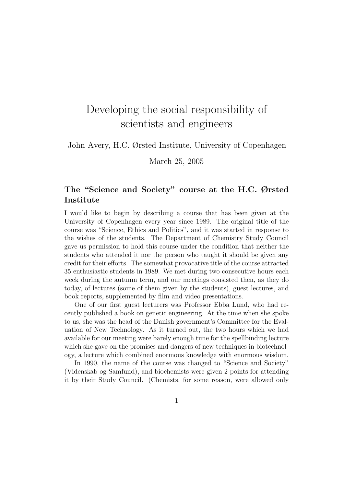## Developing the social responsibility of scientists and engineers

## John Avery, H.C. Ørsted Institute, University of Copenhagen

March 25, 2005

## The "Science and Society" course at the H.C. Ørsted Institute

I would like to begin by describing a course that has been given at the University of Copenhagen every year since 1989. The original title of the course was "Science, Ethics and Politics", and it was started in response to the wishes of the students. The Department of Chemistry Study Council gave us permission to hold this course under the condition that neither the students who attended it nor the person who taught it should be given any credit for their efforts. The somewhat provocative title of the course attracted 35 enthusiastic students in 1989. We met during two consecutive hours each week during the autumn term, and our meetings consisted then, as they do today, of lectures (some of them given by the students), guest lectures, and book reports, supplemented by film and video presentations.

One of our first guest lecturers was Professor Ebba Lund, who had recently published a book on genetic engineering. At the time when she spoke to us, she was the head of the Danish government's Committee for the Evaluation of New Technology. As it turned out, the two hours which we had available for our meeting were barely enough time for the spellbinding lecture which she gave on the promises and dangers of new techniques in biotechnology, a lecture which combined enormous knowledge with enormous wisdom.

In 1990, the name of the course was changed to "Science and Society" (Videnskab og Samfund), and biochemists were given 2 points for attending it by their Study Council. (Chemists, for some reason, were allowed only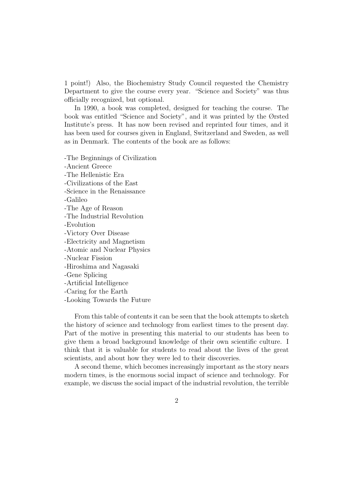1 point!) Also, the Biochemistry Study Council requested the Chemistry Department to give the course every year. "Science and Society" was thus officially recognized, but optional.

In 1990, a book was completed, designed for teaching the course. The book was entitled "Science and Society", and it was printed by the Ørsted Institute's press. It has now been revised and reprinted four times, and it has been used for courses given in England, Switzerland and Sweden, as well as in Denmark. The contents of the book are as follows:

-The Beginnings of Civilization

-Ancient Greece -The Hellenistic Era -Civilizations of the East -Science in the Renaissance -Galileo -The Age of Reason -The Industrial Revolution -Evolution -Victory Over Disease -Electricity and Magnetism -Atomic and Nuclear Physics -Nuclear Fission -Hiroshima and Nagasaki -Gene Splicing -Artificial Intelligence -Caring for the Earth -Looking Towards the Future

From this table of contents it can be seen that the book attempts to sketch the history of science and technology from earliest times to the present day. Part of the motive in presenting this material to our students has been to give them a broad background knowledge of their own scientific culture. I think that it is valuable for students to read about the lives of the great scientists, and about how they were led to their discoveries.

A second theme, which becomes increasingly important as the story nears modern times, is the enormous social impact of science and technology. For example, we discuss the social impact of the industrial revolution, the terrible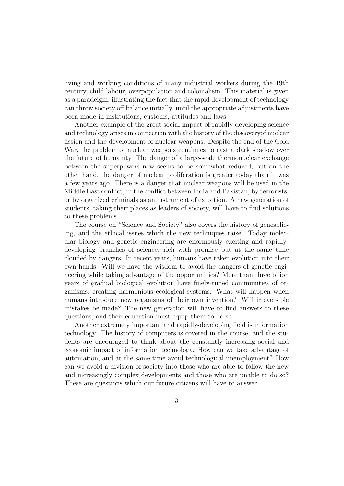living and working conditions of many industrial workers during the 19th century, child labour, overpopulation and colonialism. This material is given as a paradeigm, illustrating the fact that the rapid development of technology can throw society off balance initially, until the appropriate adjustments have been made in institutions, customs, attitudes and laws.

Another example of the great social impact of rapidly developing science and technology arises in connection with the history of the discoveryof nuclear fission and the development of nuclear weapons. Despite the end of the Cold War, the problem of nuclear weapons continues to cast a dark shadow over the future of humanity. The danger of a large-scale thermonuclear exchange between the superpowers now seems to be somewhat reduced, but on the other hand, the danger of nuclear proliferation is greater today than it was a few years ago. There is a danger that nuclear weapons will be used in the Middle East conflict, in the conflict between India and Pakistan, by terrorists, or by organized criminals as an instrument of extortion. A new generation of students, taking their places as leaders of society, will have to find solutions to these problems.

The course on "Science and Society" also covers the history of genesplicing, and the ethical issues which the new techniques raise. Today molecular biology and genetic engineering are enormously exciting and rapidlydeveloping branches of science, rich with promise but at the same time clouded by dangers. In recent years, humans have taken evolution into their own hands. Will we have the wisdom to avoid the dangers of genetic engineering while taking advantage of the opportunities? More than three bllion years of gradual biological evolution have finely-tuned communities of organisms, creating harmonious ecological systems. What will happen when humans introduce new organisms of their own invention? Will irreversible mistakes be made? The new generation will have to find answers to these questions, and their education must equip them to do so.

Another extremely important and rapidly-developing field is information technology. The history of computers is covered in the course, and the students are encouraged to think about the constantly increasing social and economic impact of information technology. How can we take advantage of automation, and at the same time avoid technological unemployment? How can we avoid a division of society into those who are able to follow the new and increasingly complex developments and those who are unable to do so? These are questions which our future citizens will have to answer.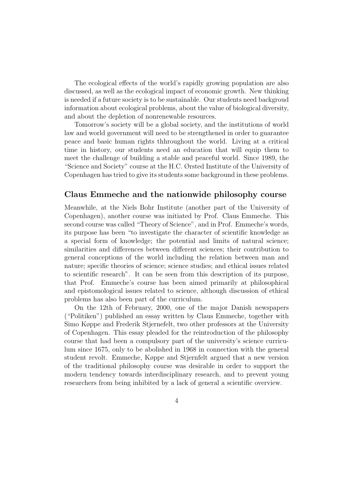The ecological effects of the world's rapidly growing population are also discussed, as well as the ecological impact of economic growth. New thinking is needed if a future society is to be sustainable. Our students need backgroud information about ecological problems, about the value of biological diversity, and about the depletion of nonrenewable resources.

Tomorrow's society will be a global society, and the institutions of world law and world government will need to be strengthened in order to guarantee peace and basic human rights thhroughout the world. Living at a critical time in history, our students need an education that will equip them to meet the challenge of building a stable and peaceful world. Since 1989, the "Science and Society" course at the H.C. Ørsted Institute of the University of Copenhagen has tried to give its students some background in these problems.

## Claus Emmeche and the nationwide philosophy course

Meanwhile, at the Niels Bohr Institute (another part of the University of Copenhagen), another course was initiated by Prof. Claus Emmeche. This second course was called "Theory of Science", and in Prof. Emmeche's words, its purpose has been "to investigate the character of scientific knowledge as a special form of knowledge; the potential and limits of natural science; similarities and differences between different sciences; their contribution to general conceptions of the world including the relation between man and nature; specific theories of science; science studies; and ethical issues related to scientific research". It can be seen from this description of its purpose, that Prof. Emmeche's course has been aimed primarily at philosophical and epistomological issues related to science, although discussion of ethical problems has also been part of the curriculum.

On the 12th of February, 2000, one of the major Danish newspapers ("Politiken") published an essay written by Claus Emmeche, together with Simo Køppe and Frederik Stjernefelt, two other professors at the University of Copenhagen. This essay pleaded for the reintroduction of the philosophy course that had been a compulsory part of the university's science curriculum since 1675, only to be abolished in 1968 in connection with the general student revolt. Emmeche, Køppe and Stjernfelt argued that a new version of the traditional philosophy course was desirable in order to support the modern tendency towards interdisciplinary research, and to prevent young researchers from being inhibited by a lack of general a scientific overview.